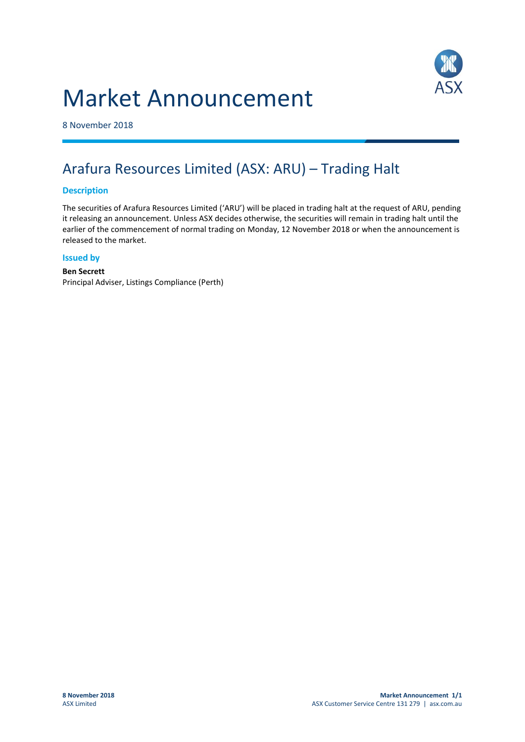# Market Announcement



8 November 2018

## Arafura Resources Limited (ASX: ARU) – Trading Halt

### **Description**

The securities of Arafura Resources Limited ('ARU') will be placed in trading halt at the request of ARU, pending it releasing an announcement. Unless ASX decides otherwise, the securities will remain in trading halt until the earlier of the commencement of normal trading on Monday, 12 November 2018 or when the announcement is released to the market.

#### **Issued by**

#### **Ben Secrett** Principal Adviser, Listings Compliance (Perth)